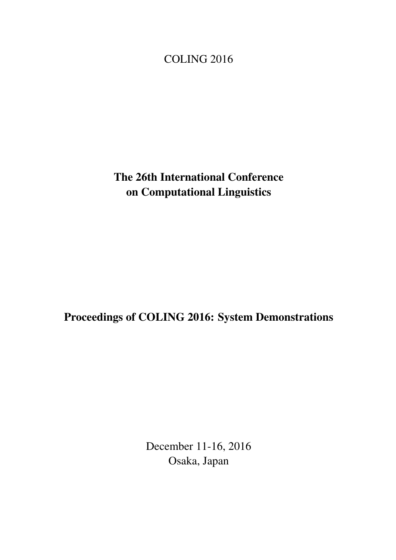<span id="page-0-0"></span>COLING 2016

The 26th International Conference on Computational Linguistics

Proceedings of COLING 2016: System Demonstrations

December 11-16, 2016 Osaka, Japan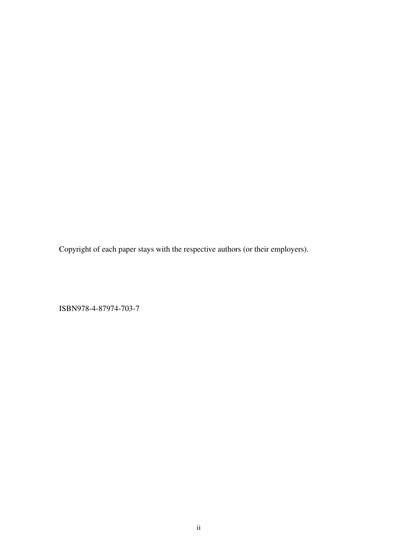Copyright of each paper stays with the respective authors (or their employers).

ISBN978-4-87974-703-7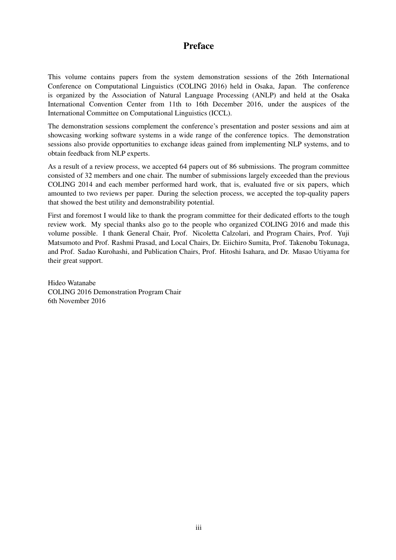# Preface

This volume contains papers from the system demonstration sessions of the 26th International Conference on Computational Linguistics (COLING 2016) held in Osaka, Japan. The conference is organized by the Association of Natural Language Processing (ANLP) and held at the Osaka International Convention Center from 11th to 16th December 2016, under the auspices of the International Committee on Computational Linguistics (ICCL).

The demonstration sessions complement the conference's presentation and poster sessions and aim at showcasing working software systems in a wide range of the conference topics. The demonstration sessions also provide opportunities to exchange ideas gained from implementing NLP systems, and to obtain feedback from NLP experts.

As a result of a review process, we accepted 64 papers out of 86 submissions. The program committee consisted of 32 members and one chair. The number of submissions largely exceeded than the previous COLING 2014 and each member performed hard work, that is, evaluated five or six papers, which amounted to two reviews per paper. During the selection process, we accepted the top-quality papers that showed the best utility and demonstrability potential.

First and foremost I would like to thank the program committee for their dedicated efforts to the tough review work. My special thanks also go to the people who organized COLING 2016 and made this volume possible. I thank General Chair, Prof. Nicoletta Calzolari, and Program Chairs, Prof. Yuji Matsumoto and Prof. Rashmi Prasad, and Local Chairs, Dr. Eiichiro Sumita, Prof. Takenobu Tokunaga, and Prof. Sadao Kurohashi, and Publication Chairs, Prof. Hitoshi Isahara, and Dr. Masao Utiyama for their great support.

Hideo Watanabe COLING 2016 Demonstration Program Chair 6th November 2016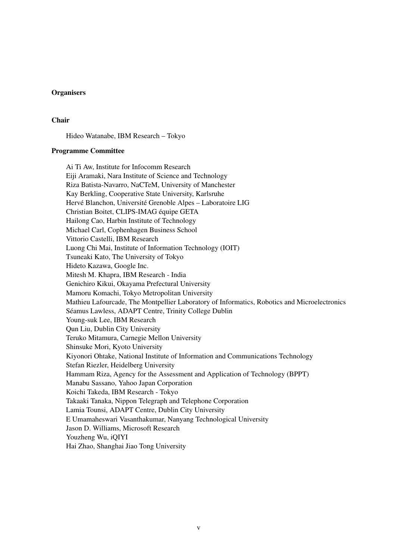# **Organisers**

#### Chair

Hideo Watanabe, IBM Research – Tokyo

#### Programme Committee

Ai Ti Aw, Institute for Infocomm Research Eiji Aramaki, Nara Institute of Science and Technology Riza Batista-Navarro, NaCTeM, University of Manchester Kay Berkling, Cooperative State University, Karlsruhe Hervé Blanchon, Université Grenoble Alpes – Laboratoire LIG Christian Boitet, CLIPS-IMAG équipe GETA Hailong Cao, Harbin Institute of Technology Michael Carl, Cophenhagen Business School Vittorio Castelli, IBM Research Luong Chi Mai, Institute of Information Technology (IOIT) Tsuneaki Kato, The University of Tokyo Hideto Kazawa, Google Inc. Mitesh M. Khapra, IBM Research - India Genichiro Kikui, Okayama Prefectural University Mamoru Komachi, Tokyo Metropolitan University Mathieu Lafourcade, The Montpellier Laboratory of Informatics, Robotics and Microelectronics Séamus Lawless, ADAPT Centre, Trinity College Dublin Young-suk Lee, IBM Research Qun Liu, Dublin City University Teruko Mitamura, Carnegie Mellon University Shinsuke Mori, Kyoto University Kiyonori Ohtake, National Institute of Information and Communications Technology Stefan Riezler, Heidelberg University Hammam Riza, Agency for the Assessment and Application of Technology (BPPT) Manabu Sassano, Yahoo Japan Corporation Koichi Takeda, IBM Research - Tokyo Takaaki Tanaka, Nippon Telegraph and Telephone Corporation Lamia Tounsi, ADAPT Centre, Dublin City University E Umamaheswari Vasanthakumar, Nanyang Technological University Jason D. Williams, Microsoft Research Youzheng Wu, iQIYI Hai Zhao, Shanghai Jiao Tong University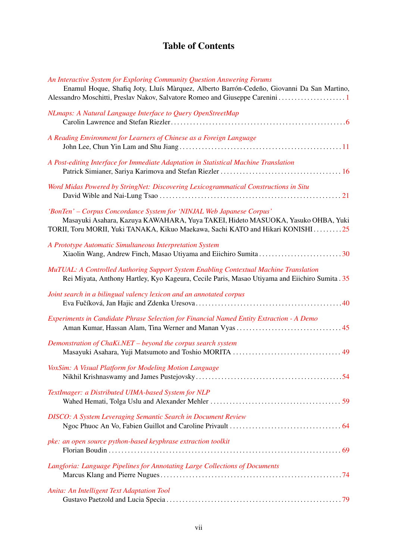# Table of Contents

| An Interactive System for Exploring Community Question Answering Forums<br>Enamul Hoque, Shafiq Joty, Lluís Màrquez, Alberto Barrón-Cedeño, Giovanni Da San Martino,<br>Alessandro Moschitti, Preslav Nakov, Salvatore Romeo and Giuseppe Carenini  1 |
|-------------------------------------------------------------------------------------------------------------------------------------------------------------------------------------------------------------------------------------------------------|
| NLmaps: A Natural Language Interface to Query OpenStreetMap                                                                                                                                                                                           |
| A Reading Environment for Learners of Chinese as a Foreign Language                                                                                                                                                                                   |
| A Post-editing Interface for Immediate Adaptation in Statistical Machine Translation                                                                                                                                                                  |
| Word Midas Powered by StringNet: Discovering Lexicogrammatical Constructions in Situ                                                                                                                                                                  |
| 'BonTen' - Corpus Concordance System for 'NINJAL Web Japanese Corpus'<br>Masayuki Asahara, Kazuya KAWAHARA, Yuya TAKEI, Hideto MASUOKA, Yasuko OHBA, Yuki<br>TORII, Toru MORII, Yuki TANAKA, Kikuo Maekawa, Sachi KATO and Hikari KONISHI25           |
| A Prototype Automatic Simultaneous Interpretation System                                                                                                                                                                                              |
| MuTUAL: A Controlled Authoring Support System Enabling Contextual Machine Translation<br>Rei Miyata, Anthony Hartley, Kyo Kageura, Cecile Paris, Masao Utiyama and Eiichiro Sumita . 35                                                               |
| Joint search in a bilingual valency lexicon and an annotated corpus                                                                                                                                                                                   |
| Experiments in Candidate Phrase Selection for Financial Named Entity Extraction - A Demo                                                                                                                                                              |
| Demonstration of ChaKi.NET - beyond the corpus search system                                                                                                                                                                                          |
| VoxSim: A Visual Platform for Modeling Motion Language                                                                                                                                                                                                |
| TextImager: a Distributed UIMA-based System for NLP                                                                                                                                                                                                   |
| <b>DISCO:</b> A System Leveraging Semantic Search in Document Review                                                                                                                                                                                  |
| pke: an open source python-based keyphrase extraction toolkit                                                                                                                                                                                         |
| Langforia: Language Pipelines for Annotating Large Collections of Documents                                                                                                                                                                           |
| Anita: An Intelligent Text Adaptation Tool                                                                                                                                                                                                            |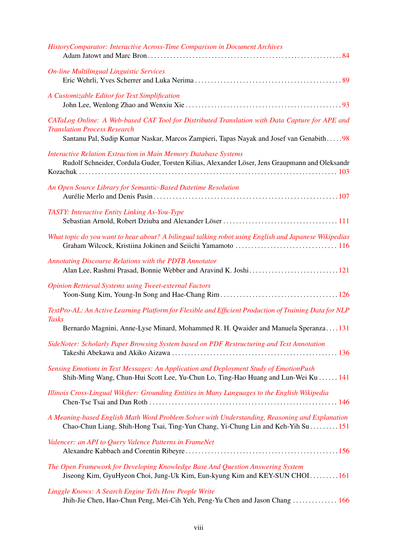| <b>HistoryComparator: Interactive Across-Time Comparison in Document Archives</b>                                                                                                                                                |
|----------------------------------------------------------------------------------------------------------------------------------------------------------------------------------------------------------------------------------|
| <b>On-line Multilingual Linguistic Services</b>                                                                                                                                                                                  |
| A Customizable Editor for Text Simplification                                                                                                                                                                                    |
| CATaLog Online: A Web-based CAT Tool for Distributed Translation with Data Capture for APE and<br><b>Translation Process Research</b><br>Santanu Pal, Sudip Kumar Naskar, Marcos Zampieri, Tapas Nayak and Josef van Genabith 98 |
| <b>Interactive Relation Extraction in Main Memory Database Systems</b><br>Rudolf Schneider, Cordula Guder, Torsten Kilias, Alexander Löser, Jens Graupmann and Oleksandr                                                         |
| An Open Source Library for Semantic-Based Datetime Resolution                                                                                                                                                                    |
| TASTY: Interactive Entity Linking As-You-Type                                                                                                                                                                                    |
| What topic do you want to hear about? A bilingual talking robot using English and Japanese Wikipedias                                                                                                                            |
| <b>Annotating Discourse Relations with the PDTB Annotator</b>                                                                                                                                                                    |
| <b>Opinion Retrieval Systems using Tweet-external Factors</b>                                                                                                                                                                    |
| TextPro-AL: An Active Learning Platform for Flexible and Efficient Production of Training Data for NLP<br><b>Tasks</b>                                                                                                           |
| Bernardo Magnini, Anne-Lyse Minard, Mohammed R. H. Qwaider and Manuela Speranza131<br>SideNoter: Scholarly Paper Browsing System based on PDF Restructuring and Text Annotation                                                  |
| Sensing Emotions in Text Messages: An Application and Deployment Study of EmotionPush<br>Shih-Ming Wang, Chun-Hui Scott Lee, Yu-Chun Lo, Ting-Hao Huang and Lun-Wei Ku  141                                                      |
| Illinois Cross-Lingual Wikifier: Grounding Entities in Many Languages to the English Wikipedia                                                                                                                                   |
| A Meaning-based English Math Word Problem Solver with Understanding, Reasoning and Explanation<br>Chao-Chun Liang, Shih-Hong Tsai, Ting-Yun Chang, Yi-Chung Lin and Keh-Yih Su  151                                              |
| Valencer: an API to Query Valence Patterns in FrameNet                                                                                                                                                                           |
| The Open Framework for Developing Knowledge Base And Question Answering System<br>Jiseong Kim, GyuHyeon Choi, Jung-Uk Kim, Eun-kyung Kim and KEY-SUN CHOI161                                                                     |
| Linggle Knows: A Search Engine Tells How People Write<br>Jhih-Jie Chen, Hao-Chun Peng, Mei-Cih Yeh, Peng-Yu Chen and Jason Chang  166                                                                                            |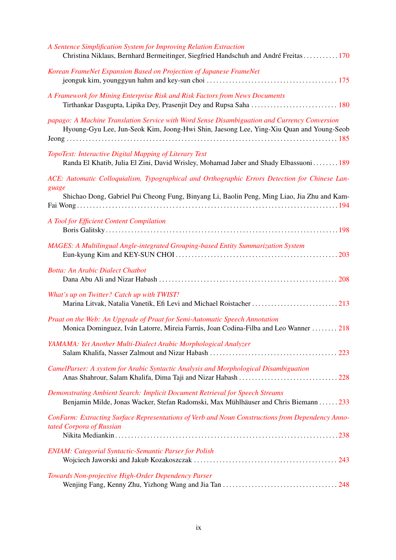| A Sentence Simplification System for Improving Relation Extraction<br>Christina Niklaus, Bernhard Bermeitinger, Siegfried Handschuh and André Freitas170                                               |
|--------------------------------------------------------------------------------------------------------------------------------------------------------------------------------------------------------|
| Korean FrameNet Expansion Based on Projection of Japanese FrameNet                                                                                                                                     |
| A Framework for Mining Enterprise Risk and Risk Factors from News Documents<br>Tirthankar Dasgupta, Lipika Dey, Prasenjit Dey and Rupsa Saha  180                                                      |
| papago: A Machine Translation Service with Word Sense Disambiguation and Currency Conversion<br>Hyoung-Gyu Lee, Jun-Seok Kim, Joong-Hwi Shin, Jaesong Lee, Ying-Xiu Quan and Young-Seob                |
| TopoText: Interactive Digital Mapping of Literary Text<br>Randa El Khatib, Julia El Zini, David Wrisley, Mohamad Jaber and Shady Elbassuoni 189                                                        |
| ACE: Automatic Colloquialism, Typographical and Orthographic Errors Detection for Chinese Lan-<br>guage<br>Shichao Dong, Gabriel Pui Cheong Fung, Binyang Li, Baolin Peng, Ming Liao, Jia Zhu and Kam- |
| A Tool for Efficient Content Compilation                                                                                                                                                               |
| <b>MAGES: A Multilingual Angle-integrated Grouping-based Entity Summarization System</b>                                                                                                               |
| <b>Botta: An Arabic Dialect Chatbot</b>                                                                                                                                                                |
| What's up on Twitter? Catch up with TWIST!<br>Marina Litvak, Natalia Vanetik, Efi Levi and Michael Roistacher 213                                                                                      |
| Praat on the Web: An Upgrade of Praat for Semi-Automatic Speech Annotation<br>Monica Dominguez, Iván Latorre, Mireia Farrús, Joan Codina-Filba and Leo Wanner  218                                     |
| YAMAMA: Yet Another Multi-Dialect Arabic Morphological Analyzer                                                                                                                                        |
| CamelParser: A system for Arabic Syntactic Analysis and Morphological Disambiguation                                                                                                                   |
| Demonstrating Ambient Search: Implicit Document Retrieval for Speech Streams<br>Benjamin Milde, Jonas Wacker, Stefan Radomski, Max Mühlhäuser and Chris Biemann 233                                    |
| ConFarm: Extracting Surface Representations of Verb and Noun Constructions from Dependency Anno-<br>tated Corpora of Russian                                                                           |
| <b>ENIAM: Categorial Syntactic-Semantic Parser for Polish</b>                                                                                                                                          |
| Towards Non-projective High-Order Dependency Parser                                                                                                                                                    |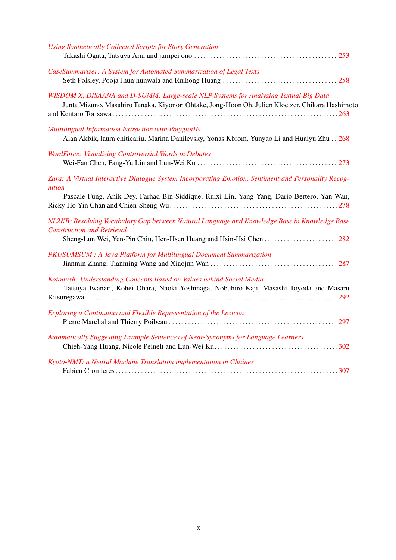| <b>Using Synthetically Collected Scripts for Story Generation</b>                                                                                                                                           |
|-------------------------------------------------------------------------------------------------------------------------------------------------------------------------------------------------------------|
| CaseSummarizer: A System for Automated Summarization of Legal Texts                                                                                                                                         |
| WISDOM X, DISAANA and D-SUMM: Large-scale NLP Systems for Analyzing Textual Big Data<br>Junta Mizuno, Masahiro Tanaka, Kiyonori Ohtake, Jong-Hoon Oh, Julien Kloetzer, Chikara Hashimoto                    |
| Multilingual Information Extraction with PolyglotIE<br>Alan Akbik, laura chiticariu, Marina Danilevsky, Yonas Kbrom, Yunyao Li and Huaiyu Zhu 268                                                           |
| WordForce: Visualizing Controversial Words in Debates                                                                                                                                                       |
| Zara: A Virtual Interactive Dialogue System Incorporating Emotion, Sentiment and Personality Recog-<br>nition<br>Pascale Fung, Anik Dey, Farhad Bin Siddique, Ruixi Lin, Yang Yang, Dario Bertero, Yan Wan, |
| NL2KB: Resolving Vocabulary Gap between Natural Language and Knowledge Base in Knowledge Base<br><b>Construction and Retrieval</b><br>Sheng-Lun Wei, Yen-Pin Chiu, Hen-Hsen Huang and Hsin-Hsi Chen 282     |
| PKUSUMSUM : A Java Platform for Multilingual Document Summarization                                                                                                                                         |
| Kotonush: Understanding Concepts Based on Values behind Social Media<br>Tatsuya Iwanari, Kohei Ohara, Naoki Yoshinaga, Nobuhiro Kaji, Masashi Toyoda and Masaru                                             |
| Exploring a Continuous and Flexible Representation of the Lexicon                                                                                                                                           |
| Automatically Suggesting Example Sentences of Near-Synonyms for Language Learners                                                                                                                           |
| Kyoto-NMT: a Neural Machine Translation implementation in Chainer                                                                                                                                           |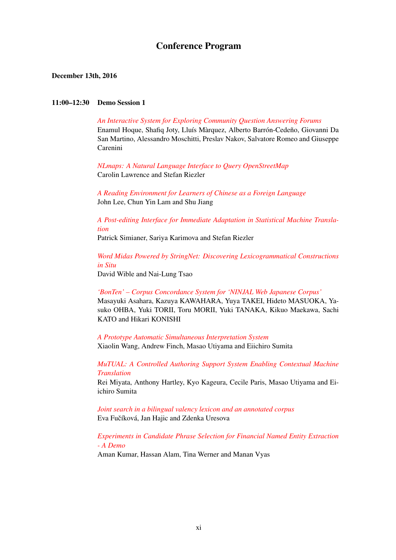# Conference Program

#### December 13th, 2016

#### 11:00–12:30 Demo Session 1

*[An Interactive System for Exploring Community Question Answering Forums](#page-0-0)* Enamul Hoque, Shafiq Joty, Lluís Màrquez, Alberto Barrón-Cedeño, Giovanni Da San Martino, Alessandro Moschitti, Preslav Nakov, Salvatore Romeo and Giuseppe Carenini

*[NLmaps: A Natural Language Interface to Query OpenStreetMap](#page-0-0)* Carolin Lawrence and Stefan Riezler

*[A Reading Environment for Learners of Chinese as a Foreign Language](#page-0-0)* John Lee, Chun Yin Lam and Shu Jiang

*[A Post-editing Interface for Immediate Adaptation in Statistical Machine Transla](#page-0-0)[tion](#page-0-0)*

Patrick Simianer, Sariya Karimova and Stefan Riezler

*[Word Midas Powered by StringNet: Discovering Lexicogrammatical Constructions](#page-0-0) [in Situ](#page-0-0)*

David Wible and Nai-Lung Tsao

*['BonTen' – Corpus Concordance System for 'NINJAL Web Japanese Corpus'](#page-0-0)* Masayuki Asahara, Kazuya KAWAHARA, Yuya TAKEI, Hideto MASUOKA, Yasuko OHBA, Yuki TORII, Toru MORII, Yuki TANAKA, Kikuo Maekawa, Sachi KATO and Hikari KONISHI

*[A Prototype Automatic Simultaneous Interpretation System](#page-0-0)* Xiaolin Wang, Andrew Finch, Masao Utiyama and Eiichiro Sumita

*[MuTUAL: A Controlled Authoring Support System Enabling Contextual Machine](#page-0-0) [Translation](#page-0-0)*

Rei Miyata, Anthony Hartley, Kyo Kageura, Cecile Paris, Masao Utiyama and Eiichiro Sumita

*[Joint search in a bilingual valency lexicon and an annotated corpus](#page-0-0)* Eva Fučíková, Jan Hajic and Zdenka Uresova

*[Experiments in Candidate Phrase Selection for Financial Named Entity Extraction](#page-0-0) [- A Demo](#page-0-0)*

Aman Kumar, Hassan Alam, Tina Werner and Manan Vyas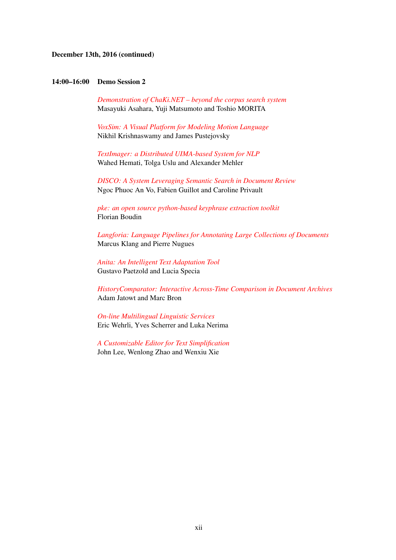#### December 13th, 2016 (continued)

#### 14:00–16:00 Demo Session 2

*[Demonstration of ChaKi.NET – beyond the corpus search system](#page-0-0)* Masayuki Asahara, Yuji Matsumoto and Toshio MORITA

*[VoxSim: A Visual Platform for Modeling Motion Language](#page-0-0)* Nikhil Krishnaswamy and James Pustejovsky

*[TextImager: a Distributed UIMA-based System for NLP](#page-0-0)* Wahed Hemati, Tolga Uslu and Alexander Mehler

*[DISCO: A System Leveraging Semantic Search in Document Review](#page-0-0)* Ngoc Phuoc An Vo, Fabien Guillot and Caroline Privault

*[pke: an open source python-based keyphrase extraction toolkit](#page-0-0)* Florian Boudin

*[Langforia: Language Pipelines for Annotating Large Collections of Documents](#page-0-0)* Marcus Klang and Pierre Nugues

*[Anita: An Intelligent Text Adaptation Tool](#page-0-0)* Gustavo Paetzold and Lucia Specia

*[HistoryComparator: Interactive Across-Time Comparison in Document Archives](#page-0-0)* Adam Jatowt and Marc Bron

*[On-line Multilingual Linguistic Services](#page-0-0)* Eric Wehrli, Yves Scherrer and Luka Nerima

*[A Customizable Editor for Text Simplification](#page-0-0)* John Lee, Wenlong Zhao and Wenxiu Xie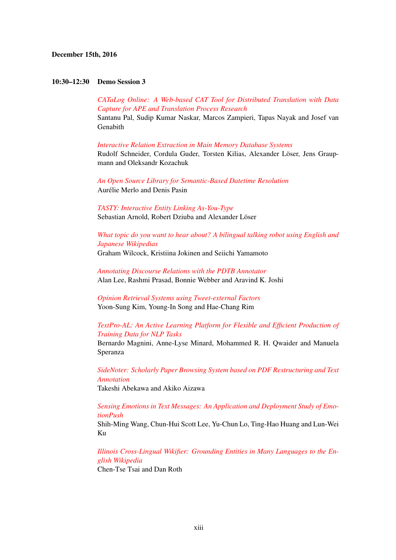## December 15th, 2016

#### 10:30–12:30 Demo Session 3

*[CATaLog Online: A Web-based CAT Tool for Distributed Translation with Data](#page-0-0) [Capture for APE and Translation Process Research](#page-0-0)* Santanu Pal, Sudip Kumar Naskar, Marcos Zampieri, Tapas Nayak and Josef van Genabith

*[Interactive Relation Extraction in Main Memory Database Systems](#page-0-0)* Rudolf Schneider, Cordula Guder, Torsten Kilias, Alexander Löser, Jens Graupmann and Oleksandr Kozachuk

*[An Open Source Library for Semantic-Based Datetime Resolution](#page-0-0)* Aurélie Merlo and Denis Pasin

*[TASTY: Interactive Entity Linking As-You-Type](#page-0-0)* Sebastian Arnold, Robert Dziuba and Alexander Löser

*[What topic do you want to hear about? A bilingual talking robot using English and](#page-0-0) [Japanese Wikipedias](#page-0-0)*

Graham Wilcock, Kristiina Jokinen and Seiichi Yamamoto

*[Annotating Discourse Relations with the PDTB Annotator](#page-0-0)* Alan Lee, Rashmi Prasad, Bonnie Webber and Aravind K. Joshi

*[Opinion Retrieval Systems using Tweet-external Factors](#page-0-0)* Yoon-Sung Kim, Young-In Song and Hae-Chang Rim

*[TextPro-AL: An Active Learning Platform for Flexible and Efficient Production of](#page-0-0) [Training Data for NLP Tasks](#page-0-0)*

Bernardo Magnini, Anne-Lyse Minard, Mohammed R. H. Qwaider and Manuela Speranza

*[SideNoter: Scholarly Paper Browsing System based on PDF Restructuring and Text](#page-0-0) [Annotation](#page-0-0)* Takeshi Abekawa and Akiko Aizawa

*[Sensing Emotions in Text Messages: An Application and Deployment Study of Emo](#page-0-0)[tionPush](#page-0-0)*

Shih-Ming Wang, Chun-Hui Scott Lee, Yu-Chun Lo, Ting-Hao Huang and Lun-Wei Ku

*[Illinois Cross-Lingual Wikifier: Grounding Entities in Many Languages to the En](#page-0-0)[glish Wikipedia](#page-0-0)*

Chen-Tse Tsai and Dan Roth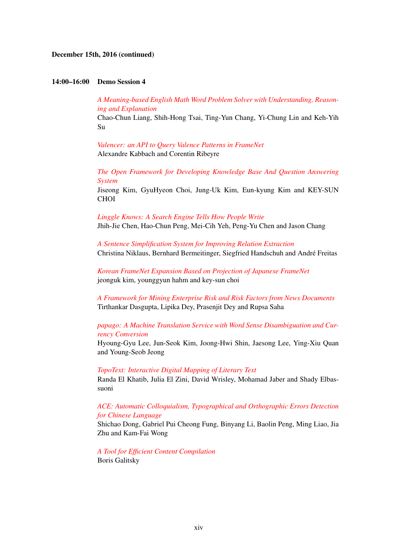## December 15th, 2016 (continued)

#### 14:00–16:00 Demo Session 4

*[A Meaning-based English Math Word Problem Solver with Understanding, Reason](#page-0-0)[ing and Explanation](#page-0-0)* Chao-Chun Liang, Shih-Hong Tsai, Ting-Yun Chang, Yi-Chung Lin and Keh-Yih Su

*[Valencer: an API to Query Valence Patterns in FrameNet](#page-0-0)* Alexandre Kabbach and Corentin Ribeyre

*[The Open Framework for Developing Knowledge Base And Question Answering](#page-0-0) [System](#page-0-0)* Jiseong Kim, GyuHyeon Choi, Jung-Uk Kim, Eun-kyung Kim and KEY-SUN CHOI

*[Linggle Knows: A Search Engine Tells How People Write](#page-0-0)* Jhih-Jie Chen, Hao-Chun Peng, Mei-Cih Yeh, Peng-Yu Chen and Jason Chang

*[A Sentence Simplification System for Improving Relation Extraction](#page-0-0)* Christina Niklaus, Bernhard Bermeitinger, Siegfried Handschuh and André Freitas

*[Korean FrameNet Expansion Based on Projection of Japanese FrameNet](#page-0-0)* jeonguk kim, younggyun hahm and key-sun choi

*[A Framework for Mining Enterprise Risk and Risk Factors from News Documents](#page-0-0)* Tirthankar Dasgupta, Lipika Dey, Prasenjit Dey and Rupsa Saha

# *[papago: A Machine Translation Service with Word Sense Disambiguation and Cur](#page-0-0)[rency Conversion](#page-0-0)*

Hyoung-Gyu Lee, Jun-Seok Kim, Joong-Hwi Shin, Jaesong Lee, Ying-Xiu Quan and Young-Seob Jeong

*[TopoText: Interactive Digital Mapping of Literary Text](#page-0-0)*

Randa El Khatib, Julia El Zini, David Wrisley, Mohamad Jaber and Shady Elbassuoni

# *[ACE: Automatic Colloquialism, Typographical and Orthographic Errors Detection](#page-0-0) [for Chinese Language](#page-0-0)*

Shichao Dong, Gabriel Pui Cheong Fung, Binyang Li, Baolin Peng, Ming Liao, Jia Zhu and Kam-Fai Wong

*[A Tool for Efficient Content Compilation](#page-0-0)* Boris Galitsky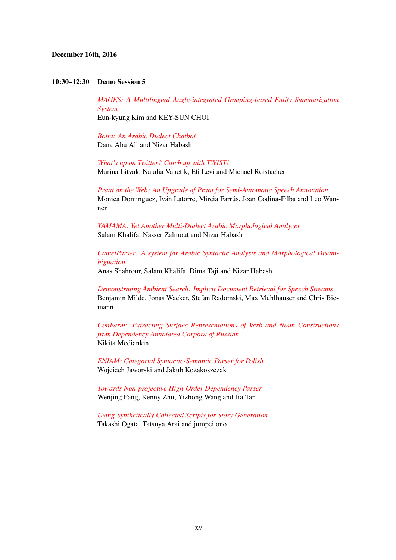## December 16th, 2016

#### 10:30–12:30 Demo Session 5

*[MAGES: A Multilingual Angle-integrated Grouping-based Entity Summarization](#page-0-0) [System](#page-0-0)* Eun-kyung Kim and KEY-SUN CHOI

*[Botta: An Arabic Dialect Chatbot](#page-0-0)* Dana Abu Ali and Nizar Habash

*[What's up on Twitter? Catch up with TWIST!](#page-0-0)* Marina Litvak, Natalia Vanetik, Efi Levi and Michael Roistacher

*[Praat on the Web: An Upgrade of Praat for Semi-Automatic Speech Annotation](#page-0-0)* Monica Dominguez, Iván Latorre, Mireia Farrús, Joan Codina-Filba and Leo Wanner

*[YAMAMA: Yet Another Multi-Dialect Arabic Morphological Analyzer](#page-0-0)* Salam Khalifa, Nasser Zalmout and Nizar Habash

*[CamelParser: A system for Arabic Syntactic Analysis and Morphological Disam](#page-0-0)[biguation](#page-0-0)*

Anas Shahrour, Salam Khalifa, Dima Taji and Nizar Habash

*[Demonstrating Ambient Search: Implicit Document Retrieval for Speech Streams](#page-0-0)* Benjamin Milde, Jonas Wacker, Stefan Radomski, Max Mühlhäuser and Chris Biemann

*[ConFarm: Extracting Surface Representations of Verb and Noun Constructions](#page-0-0) [from Dependency Annotated Corpora of Russian](#page-0-0)* Nikita Mediankin

*[ENIAM: Categorial Syntactic-Semantic Parser for Polish](#page-0-0)* Wojciech Jaworski and Jakub Kozakoszczak

*[Towards Non-projective High-Order Dependency Parser](#page-0-0)* Wenjing Fang, Kenny Zhu, Yizhong Wang and Jia Tan

*[Using Synthetically Collected Scripts for Story Generation](#page-0-0)* Takashi Ogata, Tatsuya Arai and jumpei ono